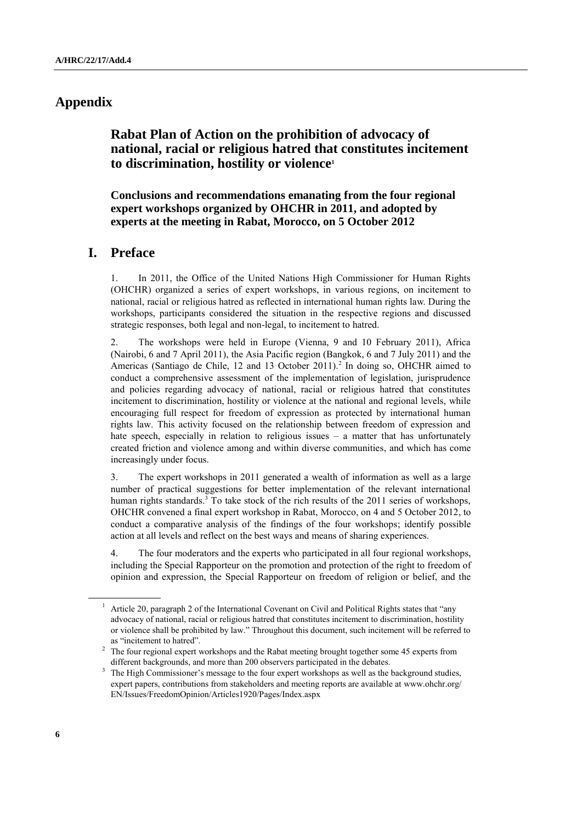# **Appendix**

**Rabat Plan of Action on the prohibition of advocacy of national, racial or religious hatred that constitutes incitement to discrimination, hostility or violence<sup>1</sup>**

**Conclusions and recommendations emanating from the four regional expert workshops organized by OHCHR in 2011, and adopted by experts at the meeting in Rabat, Morocco, on 5 October 2012**

# **I. Preface**

1. In 2011, the Office of the United Nations High Commissioner for Human Rights (OHCHR) organized a series of expert workshops, in various regions, on incitement to national, racial or religious hatred as reflected in international human rights law. During the workshops, participants considered the situation in the respective regions and discussed strategic responses, both legal and non-legal, to incitement to hatred.

2. The workshops were held in Europe (Vienna, 9 and 10 February 2011), Africa (Nairobi, 6 and 7 April 2011), the Asia Pacific region (Bangkok, 6 and 7 July 2011) and the Americas (Santiago de Chile, 12 and 13 October 2011).<sup>2</sup> In doing so, OHCHR aimed to conduct a comprehensive assessment of the implementation of legislation, jurisprudence and policies regarding advocacy of national, racial or religious hatred that constitutes incitement to discrimination, hostility or violence at the national and regional levels, while encouraging full respect for freedom of expression as protected by international human rights law. This activity focused on the relationship between freedom of expression and hate speech, especially in relation to religious issues – a matter that has unfortunately created friction and violence among and within diverse communities, and which has come increasingly under focus.

3. The expert workshops in 2011 generated a wealth of information as well as a large number of practical suggestions for better implementation of the relevant international human rights standards.<sup>3</sup> To take stock of the rich results of the 2011 series of workshops, OHCHR convened a final expert workshop in Rabat, Morocco, on 4 and 5 October 2012, to conduct a comparative analysis of the findings of the four workshops; identify possible action at all levels and reflect on the best ways and means of sharing experiences.

4. The four moderators and the experts who participated in all four regional workshops, including the Special Rapporteur on the promotion and protection of the right to freedom of opinion and expression, the Special Rapporteur on freedom of religion or belief, and the

<sup>&</sup>lt;sup>1</sup> Article 20, paragraph 2 of the International Covenant on Civil and Political Rights states that "any advocacy of national, racial or religious hatred that constitutes incitement to discrimination, hostility or violence shall be prohibited by law." Throughout this document, such incitement will be referred to as "incitement to hatred".

<sup>&</sup>lt;sup>2</sup> The four regional expert workshops and the Rabat meeting brought together some 45 experts from different backgrounds, and more than 200 observers participated in the debates.

<sup>&</sup>lt;sup>3</sup> The High Commissioner's message to the four expert workshops as well as the background studies, expert papers, contributions from stakeholders and meeting reports are available at www.ohchr.org/ EN/Issues/FreedomOpinion/Articles1920/Pages/Index.aspx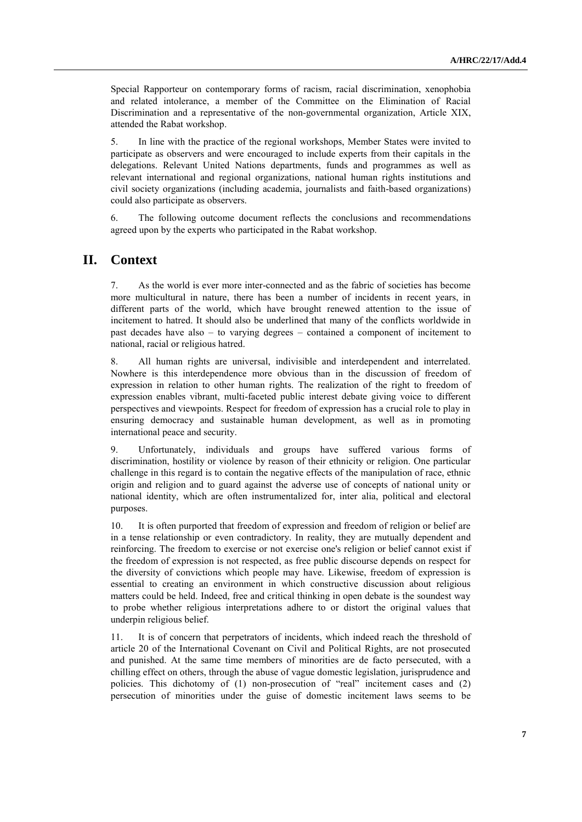Special Rapporteur on contemporary forms of racism, racial discrimination, xenophobia and related intolerance, a member of the Committee on the Elimination of Racial Discrimination and a representative of the non-governmental organization, Article XIX, attended the Rabat workshop.

5. In line with the practice of the regional workshops, Member States were invited to participate as observers and were encouraged to include experts from their capitals in the delegations. Relevant United Nations departments, funds and programmes as well as relevant international and regional organizations, national human rights institutions and civil society organizations (including academia, journalists and faith-based organizations) could also participate as observers.

6. The following outcome document reflects the conclusions and recommendations agreed upon by the experts who participated in the Rabat workshop.

# **II. Context**

7. As the world is ever more inter-connected and as the fabric of societies has become more multicultural in nature, there has been a number of incidents in recent years, in different parts of the world, which have brought renewed attention to the issue of incitement to hatred. It should also be underlined that many of the conflicts worldwide in past decades have also – to varying degrees – contained a component of incitement to national, racial or religious hatred.

8. All human rights are universal, indivisible and interdependent and interrelated. Nowhere is this interdependence more obvious than in the discussion of freedom of expression in relation to other human rights. The realization of the right to freedom of expression enables vibrant, multi-faceted public interest debate giving voice to different perspectives and viewpoints. Respect for freedom of expression has a crucial role to play in ensuring democracy and sustainable human development, as well as in promoting international peace and security.

9. Unfortunately, individuals and groups have suffered various forms of discrimination, hostility or violence by reason of their ethnicity or religion. One particular challenge in this regard is to contain the negative effects of the manipulation of race, ethnic origin and religion and to guard against the adverse use of concepts of national unity or national identity, which are often instrumentalized for, inter alia, political and electoral purposes.

10. It is often purported that freedom of expression and freedom of religion or belief are in a tense relationship or even contradictory. In reality, they are mutually dependent and reinforcing. The freedom to exercise or not exercise one's religion or belief cannot exist if the freedom of expression is not respected, as free public discourse depends on respect for the diversity of convictions which people may have. Likewise, freedom of expression is essential to creating an environment in which constructive discussion about religious matters could be held. Indeed, free and critical thinking in open debate is the soundest way to probe whether religious interpretations adhere to or distort the original values that underpin religious belief.

11. It is of concern that perpetrators of incidents, which indeed reach the threshold of article 20 of the International Covenant on Civil and Political Rights, are not prosecuted and punished. At the same time members of minorities are de facto persecuted, with a chilling effect on others, through the abuse of vague domestic legislation, jurisprudence and policies. This dichotomy of (1) non-prosecution of "real" incitement cases and (2) persecution of minorities under the guise of domestic incitement laws seems to be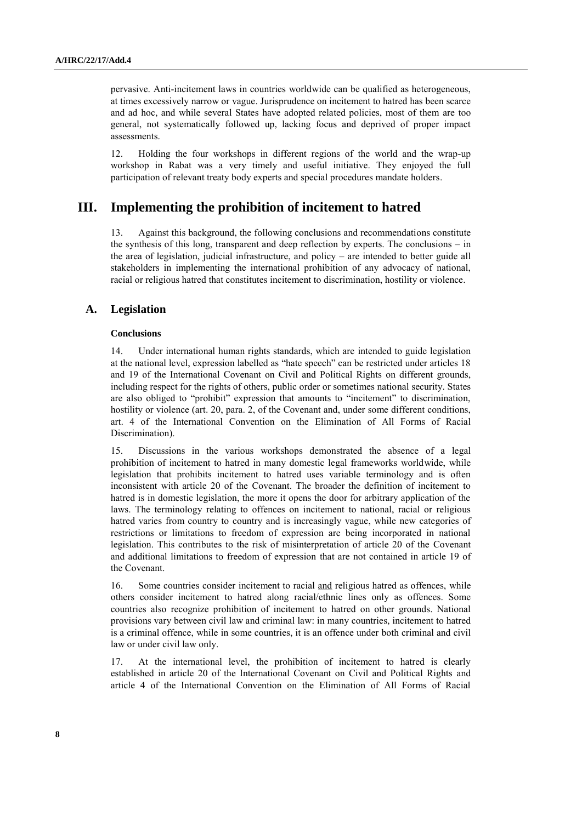pervasive. Anti-incitement laws in countries worldwide can be qualified as heterogeneous, at times excessively narrow or vague. Jurisprudence on incitement to hatred has been scarce and ad hoc, and while several States have adopted related policies, most of them are too general, not systematically followed up, lacking focus and deprived of proper impact assessments.

12. Holding the four workshops in different regions of the world and the wrap-up workshop in Rabat was a very timely and useful initiative. They enjoyed the full participation of relevant treaty body experts and special procedures mandate holders.

# **III. Implementing the prohibition of incitement to hatred**

13. Against this background, the following conclusions and recommendations constitute the synthesis of this long, transparent and deep reflection by experts. The conclusions – in the area of legislation, judicial infrastructure, and policy – are intended to better guide all stakeholders in implementing the international prohibition of any advocacy of national, racial or religious hatred that constitutes incitement to discrimination, hostility or violence.

## **A. Legislation**

### **Conclusions**

14. Under international human rights standards, which are intended to guide legislation at the national level, expression labelled as "hate speech" can be restricted under articles 18 and 19 of the International Covenant on Civil and Political Rights on different grounds, including respect for the rights of others, public order or sometimes national security. States are also obliged to "prohibit" expression that amounts to "incitement" to discrimination, hostility or violence (art. 20, para. 2, of the Covenant and, under some different conditions, art. 4 of the International Convention on the Elimination of All Forms of Racial Discrimination).

15. Discussions in the various workshops demonstrated the absence of a legal prohibition of incitement to hatred in many domestic legal frameworks worldwide, while legislation that prohibits incitement to hatred uses variable terminology and is often inconsistent with article 20 of the Covenant. The broader the definition of incitement to hatred is in domestic legislation, the more it opens the door for arbitrary application of the laws. The terminology relating to offences on incitement to national, racial or religious hatred varies from country to country and is increasingly vague, while new categories of restrictions or limitations to freedom of expression are being incorporated in national legislation. This contributes to the risk of misinterpretation of article 20 of the Covenant and additional limitations to freedom of expression that are not contained in article 19 of the Covenant.

16. Some countries consider incitement to racial and religious hatred as offences, while others consider incitement to hatred along racial/ethnic lines only as offences. Some countries also recognize prohibition of incitement to hatred on other grounds. National provisions vary between civil law and criminal law: in many countries, incitement to hatred is a criminal offence, while in some countries, it is an offence under both criminal and civil law or under civil law only.

17. At the international level, the prohibition of incitement to hatred is clearly established in article 20 of the International Covenant on Civil and Political Rights and article 4 of the International Convention on the Elimination of All Forms of Racial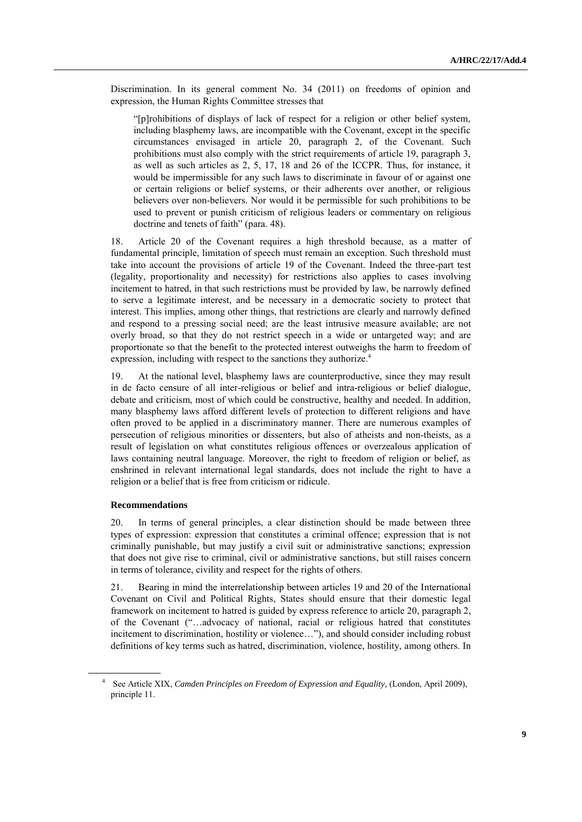Discrimination. In its general comment No. 34 (2011) on freedoms of opinion and expression, the Human Rights Committee stresses that

"[p]rohibitions of displays of lack of respect for a religion or other belief system, including blasphemy laws, are incompatible with the Covenant, except in the specific circumstances envisaged in article 20, paragraph 2, of the Covenant. Such prohibitions must also comply with the strict requirements of article 19, paragraph 3, as well as such articles as 2, 5, 17, 18 and 26 of the ICCPR. Thus, for instance, it would be impermissible for any such laws to discriminate in favour of or against one or certain religions or belief systems, or their adherents over another, or religious believers over non-believers. Nor would it be permissible for such prohibitions to be used to prevent or punish criticism of religious leaders or commentary on religious doctrine and tenets of faith" (para. 48).

18. Article 20 of the Covenant requires a high threshold because, as a matter of fundamental principle, limitation of speech must remain an exception. Such threshold must take into account the provisions of article 19 of the Covenant. Indeed the three-part test (legality, proportionality and necessity) for restrictions also applies to cases involving incitement to hatred, in that such restrictions must be provided by law, be narrowly defined to serve a legitimate interest, and be necessary in a democratic society to protect that interest. This implies, among other things, that restrictions are clearly and narrowly defined and respond to a pressing social need; are the least intrusive measure available; are not overly broad, so that they do not restrict speech in a wide or untargeted way; and are proportionate so that the benefit to the protected interest outweighs the harm to freedom of expression, including with respect to the sanctions they authorize.<sup>4</sup>

19. At the national level, blasphemy laws are counterproductive, since they may result in de facto censure of all inter-religious or belief and intra-religious or belief dialogue, debate and criticism, most of which could be constructive, healthy and needed. In addition, many blasphemy laws afford different levels of protection to different religions and have often proved to be applied in a discriminatory manner. There are numerous examples of persecution of religious minorities or dissenters, but also of atheists and non-theists, as a result of legislation on what constitutes religious offences or overzealous application of laws containing neutral language. Moreover, the right to freedom of religion or belief, as enshrined in relevant international legal standards, does not include the right to have a religion or a belief that is free from criticism or ridicule.

#### **Recommendations**

20. In terms of general principles, a clear distinction should be made between three types of expression: expression that constitutes a criminal offence; expression that is not criminally punishable, but may justify a civil suit or administrative sanctions; expression that does not give rise to criminal, civil or administrative sanctions, but still raises concern in terms of tolerance, civility and respect for the rights of others.

21. Bearing in mind the interrelationship between articles 19 and 20 of the International Covenant on Civil and Political Rights, States should ensure that their domestic legal framework on incitement to hatred is guided by express reference to article 20, paragraph 2, of the Covenant ("…advocacy of national, racial or religious hatred that constitutes incitement to discrimination, hostility or violence…"), and should consider including robust definitions of key terms such as hatred, discrimination, violence, hostility, among others. In

<sup>4</sup> See Article XIX, *Camden Principles on Freedom of Expression and Equality,* (London, April 2009), principle 11.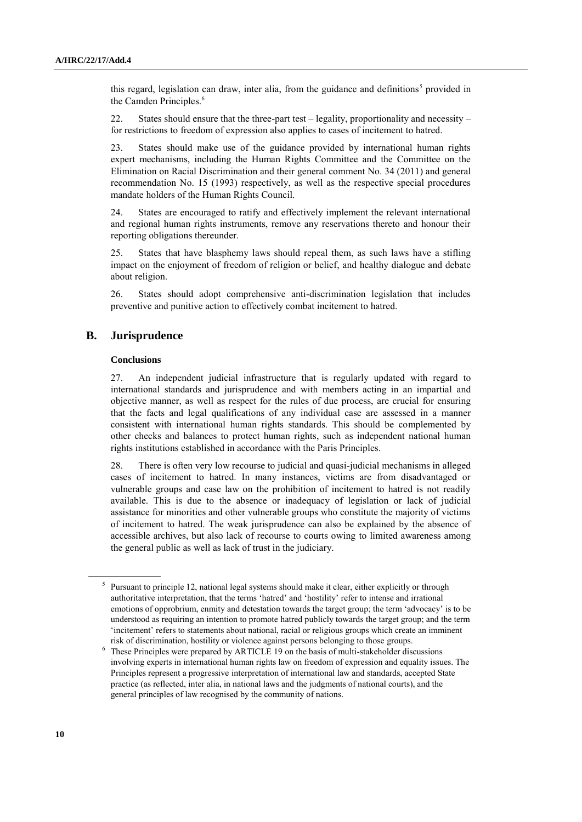this regard, legislation can draw, inter alia, from the guidance and definitions<sup>5</sup> provided in the Camden Principles.<sup>6</sup>

22. States should ensure that the three-part test – legality, proportionality and necessity – for restrictions to freedom of expression also applies to cases of incitement to hatred.

23. States should make use of the guidance provided by international human rights expert mechanisms, including the Human Rights Committee and the Committee on the Elimination on Racial Discrimination and their general comment No. 34 (2011) and general recommendation No. 15 (1993) respectively, as well as the respective special procedures mandate holders of the Human Rights Council.

24. States are encouraged to ratify and effectively implement the relevant international and regional human rights instruments, remove any reservations thereto and honour their reporting obligations thereunder.

25. States that have blasphemy laws should repeal them, as such laws have a stifling impact on the enjoyment of freedom of religion or belief, and healthy dialogue and debate about religion.

26. States should adopt comprehensive anti-discrimination legislation that includes preventive and punitive action to effectively combat incitement to hatred.

## **B. Jurisprudence**

### **Conclusions**

27. An independent judicial infrastructure that is regularly updated with regard to international standards and jurisprudence and with members acting in an impartial and objective manner, as well as respect for the rules of due process, are crucial for ensuring that the facts and legal qualifications of any individual case are assessed in a manner consistent with international human rights standards. This should be complemented by other checks and balances to protect human rights, such as independent national human rights institutions established in accordance with the Paris Principles.

28. There is often very low recourse to judicial and quasi-judicial mechanisms in alleged cases of incitement to hatred. In many instances, victims are from disadvantaged or vulnerable groups and case law on the prohibition of incitement to hatred is not readily available. This is due to the absence or inadequacy of legislation or lack of judicial assistance for minorities and other vulnerable groups who constitute the majority of victims of incitement to hatred. The weak jurisprudence can also be explained by the absence of accessible archives, but also lack of recourse to courts owing to limited awareness among the general public as well as lack of trust in the judiciary.

<sup>&</sup>lt;sup>5</sup> Pursuant to principle 12, national legal systems should make it clear, either explicitly or through authoritative interpretation, that the terms "hatred" and "hostility" refer to intense and irrational emotions of opprobrium, enmity and detestation towards the target group; the term "advocacy" is to be understood as requiring an intention to promote hatred publicly towards the target group; and the term "incitement" refers to statements about national, racial or religious groups which create an imminent risk of discrimination, hostility or violence against persons belonging to those groups.

These Principles were prepared by ARTICLE 19 on the basis of multi-stakeholder discussions involving experts in international human rights law on freedom of expression and equality issues. The Principles represent a progressive interpretation of international law and standards, accepted State practice (as reflected, inter alia, in national laws and the judgments of national courts), and the general principles of law recognised by the community of nations.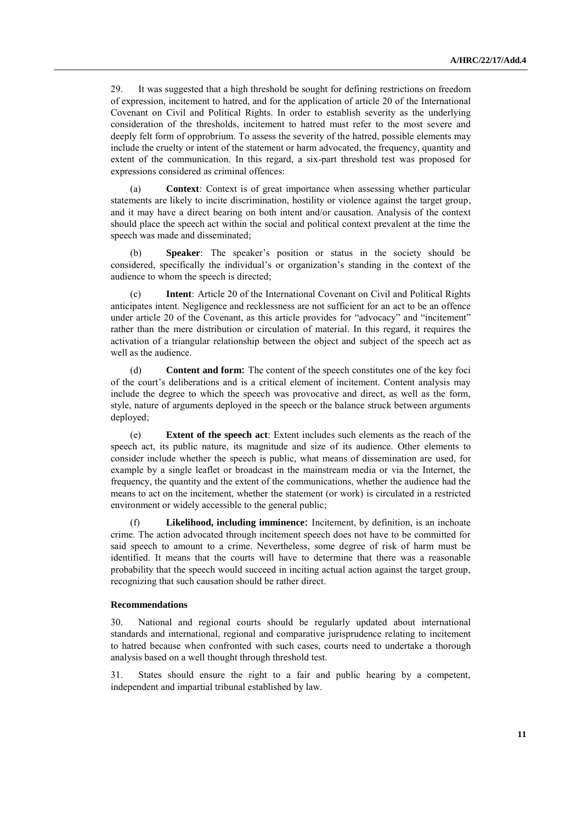29. It was suggested that a high threshold be sought for defining restrictions on freedom of expression, incitement to hatred, and for the application of article 20 of the International Covenant on Civil and Political Rights. In order to establish severity as the underlying consideration of the thresholds, incitement to hatred must refer to the most severe and deeply felt form of opprobrium. To assess the severity of the hatred, possible elements may include the cruelty or intent of the statement or harm advocated, the frequency, quantity and extent of the communication. In this regard, a six-part threshold test was proposed for expressions considered as criminal offences:

(a) **Context**: Context is of great importance when assessing whether particular statements are likely to incite discrimination, hostility or violence against the target group, and it may have a direct bearing on both intent and/or causation. Analysis of the context should place the speech act within the social and political context prevalent at the time the speech was made and disseminated;

(b) **Speaker**: The speaker"s position or status in the society should be considered, specifically the individual"s or organization"s standing in the context of the audience to whom the speech is directed;

(c) **Intent**: Article 20 of the International Covenant on Civil and Political Rights anticipates intent. Negligence and recklessness are not sufficient for an act to be an offence under article 20 of the Covenant, as this article provides for "advocacy" and "incitement" rather than the mere distribution or circulation of material. In this regard, it requires the activation of a triangular relationship between the object and subject of the speech act as well as the audience.

**Content and form:** The content of the speech constitutes one of the key foci of the court's deliberations and is a critical element of incitement. Content analysis may include the degree to which the speech was provocative and direct, as well as the form, style, nature of arguments deployed in the speech or the balance struck between arguments deployed;

(e) **Extent of the speech act**: Extent includes such elements as the reach of the speech act, its public nature, its magnitude and size of its audience. Other elements to consider include whether the speech is public, what means of dissemination are used, for example by a single leaflet or broadcast in the mainstream media or via the Internet, the frequency, the quantity and the extent of the communications, whether the audience had the means to act on the incitement, whether the statement (or work) is circulated in a restricted environment or widely accessible to the general public;

(f) **Likelihood, including imminence**: Incitement, by definition, is an inchoate crime. The action advocated through incitement speech does not have to be committed for said speech to amount to a crime. Nevertheless, some degree of risk of harm must be identified. It means that the courts will have to determine that there was a reasonable probability that the speech would succeed in inciting actual action against the target group, recognizing that such causation should be rather direct.

### **Recommendations**

30. National and regional courts should be regularly updated about international standards and international, regional and comparative jurisprudence relating to incitement to hatred because when confronted with such cases, courts need to undertake a thorough analysis based on a well thought through threshold test.

31. States should ensure the right to a fair and public hearing by a competent, independent and impartial tribunal established by law.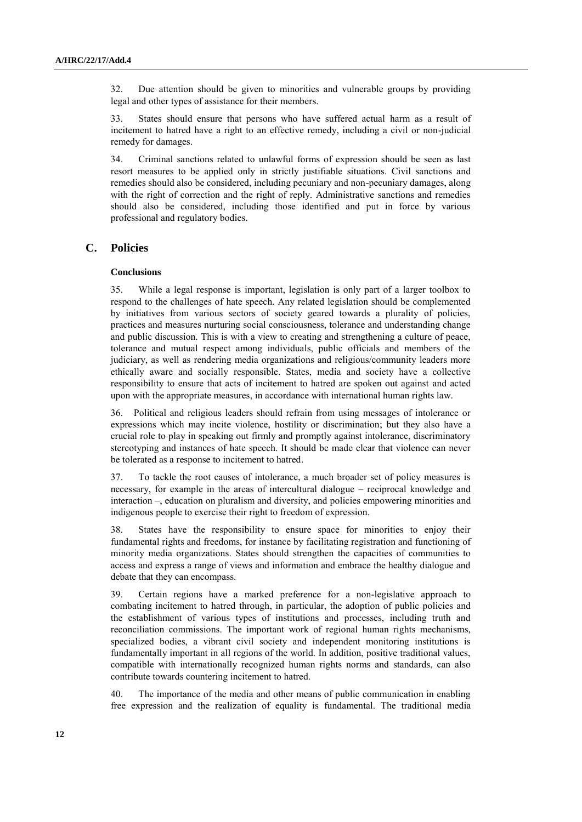32. Due attention should be given to minorities and vulnerable groups by providing legal and other types of assistance for their members.

33. States should ensure that persons who have suffered actual harm as a result of incitement to hatred have a right to an effective remedy, including a civil or non-judicial remedy for damages.

34. Criminal sanctions related to unlawful forms of expression should be seen as last resort measures to be applied only in strictly justifiable situations. Civil sanctions and remedies should also be considered, including pecuniary and non-pecuniary damages, along with the right of correction and the right of reply. Administrative sanctions and remedies should also be considered, including those identified and put in force by various professional and regulatory bodies.

## **C. Policies**

### **Conclusions**

35. While a legal response is important, legislation is only part of a larger toolbox to respond to the challenges of hate speech. Any related legislation should be complemented by initiatives from various sectors of society geared towards a plurality of policies, practices and measures nurturing social consciousness, tolerance and understanding change and public discussion. This is with a view to creating and strengthening a culture of peace, tolerance and mutual respect among individuals, public officials and members of the judiciary, as well as rendering media organizations and religious/community leaders more ethically aware and socially responsible. States, media and society have a collective responsibility to ensure that acts of incitement to hatred are spoken out against and acted upon with the appropriate measures, in accordance with international human rights law.

36. Political and religious leaders should refrain from using messages of intolerance or expressions which may incite violence, hostility or discrimination; but they also have a crucial role to play in speaking out firmly and promptly against intolerance, discriminatory stereotyping and instances of hate speech. It should be made clear that violence can never be tolerated as a response to incitement to hatred.

37. To tackle the root causes of intolerance, a much broader set of policy measures is necessary, for example in the areas of intercultural dialogue – reciprocal knowledge and interaction –, education on pluralism and diversity, and policies empowering minorities and indigenous people to exercise their right to freedom of expression.

38. States have the responsibility to ensure space for minorities to enjoy their fundamental rights and freedoms, for instance by facilitating registration and functioning of minority media organizations. States should strengthen the capacities of communities to access and express a range of views and information and embrace the healthy dialogue and debate that they can encompass.

39. Certain regions have a marked preference for a non-legislative approach to combating incitement to hatred through, in particular, the adoption of public policies and the establishment of various types of institutions and processes, including truth and reconciliation commissions. The important work of regional human rights mechanisms, specialized bodies, a vibrant civil society and independent monitoring institutions is fundamentally important in all regions of the world. In addition, positive traditional values, compatible with internationally recognized human rights norms and standards, can also contribute towards countering incitement to hatred.

40. The importance of the media and other means of public communication in enabling free expression and the realization of equality is fundamental. The traditional media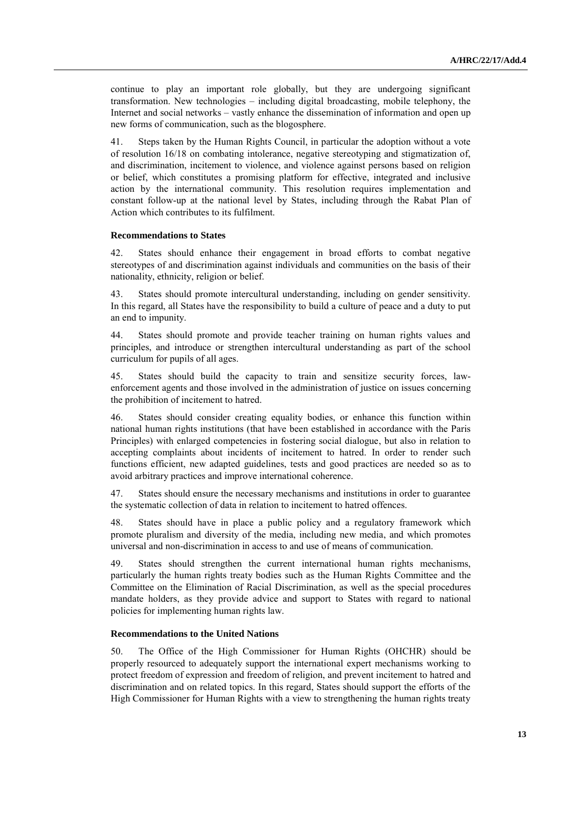continue to play an important role globally, but they are undergoing significant transformation. New technologies – including digital broadcasting, mobile telephony, the Internet and social networks – vastly enhance the dissemination of information and open up new forms of communication, such as the blogosphere.

41. Steps taken by the Human Rights Council, in particular the adoption without a vote of resolution 16/18 on combating intolerance, negative stereotyping and stigmatization of, and discrimination, incitement to violence, and violence against persons based on religion or belief, which constitutes a promising platform for effective, integrated and inclusive action by the international community. This resolution requires implementation and constant follow-up at the national level by States, including through the Rabat Plan of Action which contributes to its fulfilment.

### **Recommendations to States**

42. States should enhance their engagement in broad efforts to combat negative stereotypes of and discrimination against individuals and communities on the basis of their nationality, ethnicity, religion or belief.

43. States should promote intercultural understanding, including on gender sensitivity. In this regard, all States have the responsibility to build a culture of peace and a duty to put an end to impunity.

44. States should promote and provide teacher training on human rights values and principles, and introduce or strengthen intercultural understanding as part of the school curriculum for pupils of all ages.

45. States should build the capacity to train and sensitize security forces, lawenforcement agents and those involved in the administration of justice on issues concerning the prohibition of incitement to hatred.

46. States should consider creating equality bodies, or enhance this function within national human rights institutions (that have been established in accordance with the Paris Principles) with enlarged competencies in fostering social dialogue, but also in relation to accepting complaints about incidents of incitement to hatred. In order to render such functions efficient, new adapted guidelines, tests and good practices are needed so as to avoid arbitrary practices and improve international coherence.

47. States should ensure the necessary mechanisms and institutions in order to guarantee the systematic collection of data in relation to incitement to hatred offences.

48. States should have in place a public policy and a regulatory framework which promote pluralism and diversity of the media, including new media, and which promotes universal and non-discrimination in access to and use of means of communication.

49. States should strengthen the current international human rights mechanisms, particularly the human rights treaty bodies such as the Human Rights Committee and the Committee on the Elimination of Racial Discrimination, as well as the special procedures mandate holders, as they provide advice and support to States with regard to national policies for implementing human rights law.

### **Recommendations to the United Nations**

50. The Office of the High Commissioner for Human Rights (OHCHR) should be properly resourced to adequately support the international expert mechanisms working to protect freedom of expression and freedom of religion, and prevent incitement to hatred and discrimination and on related topics. In this regard, States should support the efforts of the High Commissioner for Human Rights with a view to strengthening the human rights treaty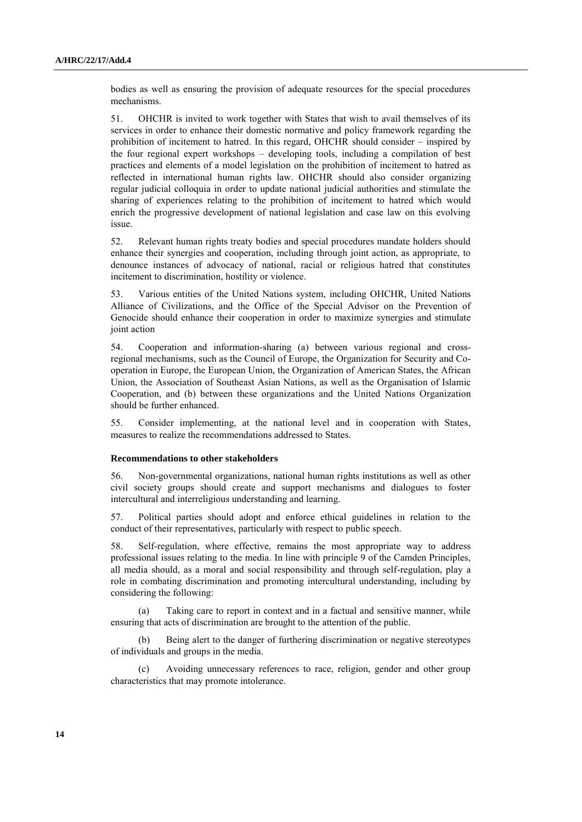bodies as well as ensuring the provision of adequate resources for the special procedures mechanisms.

51. OHCHR is invited to work together with States that wish to avail themselves of its services in order to enhance their domestic normative and policy framework regarding the prohibition of incitement to hatred. In this regard, OHCHR should consider – inspired by the four regional expert workshops – developing tools, including a compilation of best practices and elements of a model legislation on the prohibition of incitement to hatred as reflected in international human rights law. OHCHR should also consider organizing regular judicial colloquia in order to update national judicial authorities and stimulate the sharing of experiences relating to the prohibition of incitement to hatred which would enrich the progressive development of national legislation and case law on this evolving issue.

52. Relevant human rights treaty bodies and special procedures mandate holders should enhance their synergies and cooperation, including through joint action, as appropriate, to denounce instances of advocacy of national, racial or religious hatred that constitutes incitement to discrimination, hostility or violence.

53. Various entities of the United Nations system, including OHCHR, United Nations Alliance of Civilizations, and the Office of the Special Advisor on the Prevention of Genocide should enhance their cooperation in order to maximize synergies and stimulate joint action

54. Cooperation and information-sharing (a) between various regional and crossregional mechanisms, such as the Council of Europe, the Organization for Security and Cooperation in Europe, the European Union, the Organization of American States, the African Union, the Association of Southeast Asian Nations, as well as the Organisation of Islamic Cooperation, and (b) between these organizations and the United Nations Organization should be further enhanced.

55. Consider implementing, at the national level and in cooperation with States, measures to realize the recommendations addressed to States.

### **Recommendations to other stakeholders**

56. Non-governmental organizations, national human rights institutions as well as other civil society groups should create and support mechanisms and dialogues to foster intercultural and interreligious understanding and learning.

57. Political parties should adopt and enforce ethical guidelines in relation to the conduct of their representatives, particularly with respect to public speech.

58. Self-regulation, where effective, remains the most appropriate way to address professional issues relating to the media. In line with principle 9 of the Camden Principles, all media should, as a moral and social responsibility and through self-regulation, play a role in combating discrimination and promoting intercultural understanding, including by considering the following:

Taking care to report in context and in a factual and sensitive manner, while ensuring that acts of discrimination are brought to the attention of the public.

(b) Being alert to the danger of furthering discrimination or negative stereotypes of individuals and groups in the media.

(c) Avoiding unnecessary references to race, religion, gender and other group characteristics that may promote intolerance.